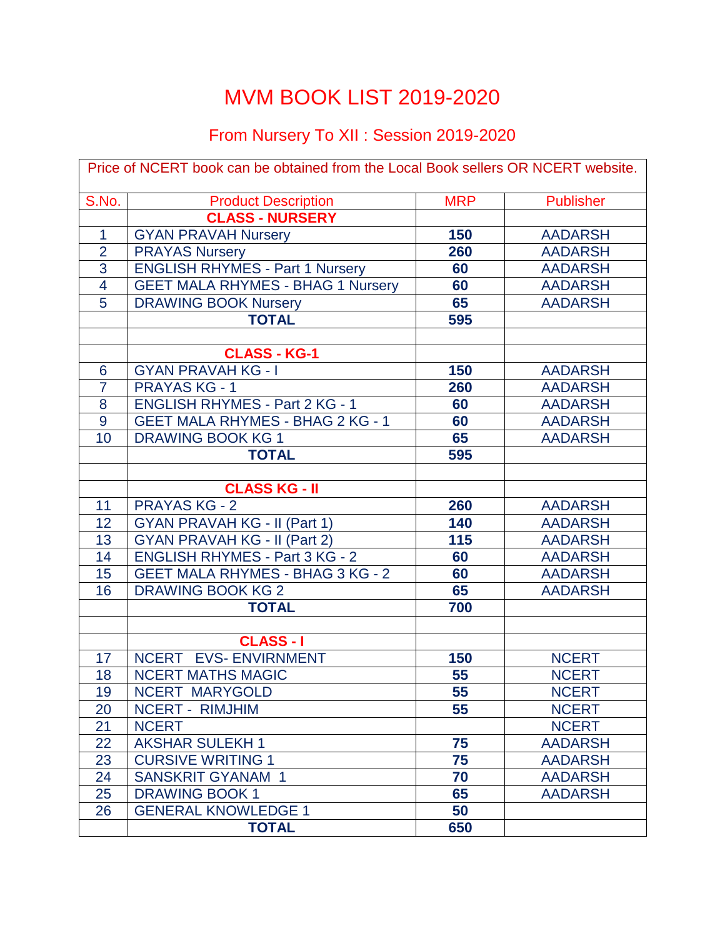## MVM BOOK LIST 2019-2020

## From Nursery To XII : Session 2019-2020

| Price of NCERT book can be obtained from the Local Book sellers OR NCERT website. |                                          |            |                  |  |
|-----------------------------------------------------------------------------------|------------------------------------------|------------|------------------|--|
| S.No.                                                                             | <b>Product Description</b>               | <b>MRP</b> | <b>Publisher</b> |  |
|                                                                                   | <b>CLASS - NURSERY</b>                   |            |                  |  |
| 1                                                                                 | <b>GYAN PRAVAH Nursery</b>               | 150        | <b>AADARSH</b>   |  |
| $\overline{2}$                                                                    | <b>PRAYAS Nursery</b>                    | 260        | <b>AADARSH</b>   |  |
| 3                                                                                 | <b>ENGLISH RHYMES - Part 1 Nursery</b>   | 60         | <b>AADARSH</b>   |  |
| $\overline{4}$                                                                    | <b>GEET MALA RHYMES - BHAG 1 Nursery</b> | 60         | <b>AADARSH</b>   |  |
| 5                                                                                 | <b>DRAWING BOOK Nursery</b>              | 65         | <b>AADARSH</b>   |  |
|                                                                                   | <b>TOTAL</b>                             | 595        |                  |  |
|                                                                                   |                                          |            |                  |  |
|                                                                                   | <b>CLASS - KG-1</b>                      |            |                  |  |
| $6\phantom{1}6$                                                                   | <b>GYAN PRAVAH KG - I</b>                | 150        | <b>AADARSH</b>   |  |
| $\overline{7}$                                                                    | <b>PRAYAS KG - 1</b>                     | 260        | <b>AADARSH</b>   |  |
| 8                                                                                 | <b>ENGLISH RHYMES - Part 2 KG - 1</b>    | 60         | <b>AADARSH</b>   |  |
| $\overline{9}$                                                                    | <b>GEET MALA RHYMES - BHAG 2 KG - 1</b>  | 60         | <b>AADARSH</b>   |  |
| 10                                                                                | <b>DRAWING BOOK KG 1</b>                 | 65         | <b>AADARSH</b>   |  |
|                                                                                   | <b>TOTAL</b>                             | 595        |                  |  |
|                                                                                   |                                          |            |                  |  |
|                                                                                   | <b>CLASS KG - II</b>                     |            |                  |  |
| 11                                                                                | <b>PRAYAS KG - 2</b>                     | 260        | <b>AADARSH</b>   |  |
| 12                                                                                | <b>GYAN PRAVAH KG - II (Part 1)</b>      | 140        | <b>AADARSH</b>   |  |
| 13                                                                                | <b>GYAN PRAVAH KG - II (Part 2)</b>      | 115        | <b>AADARSH</b>   |  |
| 14                                                                                | <b>ENGLISH RHYMES - Part 3 KG - 2</b>    | 60         | <b>AADARSH</b>   |  |
| 15                                                                                | <b>GEET MALA RHYMES - BHAG 3 KG - 2</b>  | 60         | <b>AADARSH</b>   |  |
| 16                                                                                | <b>DRAWING BOOK KG 2</b>                 | 65         | <b>AADARSH</b>   |  |
|                                                                                   | <b>TOTAL</b>                             | 700        |                  |  |
|                                                                                   |                                          |            |                  |  |
|                                                                                   | <b>CLASS-I</b>                           |            |                  |  |
| 17                                                                                | NCERT EVS- ENVIRNMENT                    | 150        | <b>NCERT</b>     |  |
| 18                                                                                | <b>NCERT MATHS MAGIC</b>                 | 55         | <b>NCERT</b>     |  |
| 19                                                                                | NCERT MARYGOLD                           | 55         | <b>NCERT</b>     |  |
| 20                                                                                | <b>NCERT - RIMJHIM</b>                   | 55         | <b>NCERT</b>     |  |
| 21                                                                                | <b>NCERT</b>                             |            | <b>NCERT</b>     |  |
| 22                                                                                | <b>AKSHAR SULEKH1</b>                    | 75         | <b>AADARSH</b>   |  |
| 23                                                                                | <b>CURSIVE WRITING 1</b>                 | 75         | <b>AADARSH</b>   |  |
| 24                                                                                | <b>SANSKRIT GYANAM 1</b>                 | 70         | <b>AADARSH</b>   |  |
| 25                                                                                | <b>DRAWING BOOK 1</b>                    | 65         | <b>AADARSH</b>   |  |
| 26                                                                                | <b>GENERAL KNOWLEDGE 1</b>               | 50         |                  |  |
|                                                                                   | <b>TOTAL</b>                             | 650        |                  |  |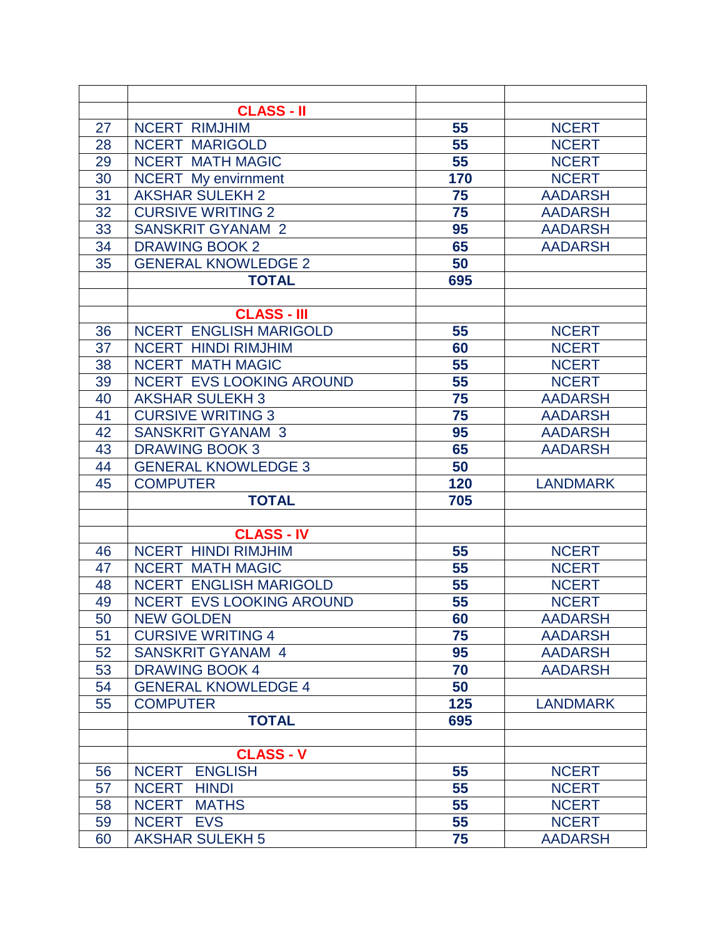| <b>CLASS - II</b><br>55<br>27<br><b>NCERT</b><br><b>NCERT RIMJHIM</b><br>55<br><b>NCERT</b><br>28<br><b>NCERT MARIGOLD</b><br><b>NCERT MATH MAGIC</b><br>55<br>29<br><b>NCERT</b><br>170<br><b>NCERT</b><br>30<br><b>NCERT</b> My envirnment<br>31<br>75<br><b>AKSHAR SULEKH 2</b><br><b>AADARSH</b><br>32<br>75<br><b>CURSIVE WRITING 2</b><br><b>AADARSH</b><br>95<br>33<br><b>SANSKRIT GYANAM 2</b><br><b>AADARSH</b><br>34<br>65<br><b>DRAWING BOOK 2</b><br><b>AADARSH</b><br>35<br><b>GENERAL KNOWLEDGE 2</b><br>50<br>695<br><b>TOTAL</b><br><b>CLASS - III</b><br><b>NCERT ENGLISH MARIGOLD</b><br>55<br>36<br><b>NCERT</b><br>37<br><b>NCERT HINDI RIMJHIM</b><br><b>NCERT</b><br>60<br>38<br><b>NCERT MATH MAGIC</b><br>55<br><b>NCERT</b><br>39<br>NCERT EVS LOOKING AROUND<br>55<br><b>NCERT</b><br>75<br><b>AKSHAR SULEKH 3</b><br>40<br><b>AADARSH</b><br>41<br><b>CURSIVE WRITING 3</b><br>75<br><b>AADARSH</b><br>95<br><b>SANSKRIT GYANAM 3</b><br>42<br><b>AADARSH</b><br>43<br><b>DRAWING BOOK 3</b><br>65<br><b>AADARSH</b><br>44<br><b>GENERAL KNOWLEDGE 3</b><br>50<br>45<br>120<br><b>LANDMARK</b><br><b>COMPUTER</b><br><b>TOTAL</b><br>705<br><b>CLASS - IV</b><br><b>NCERT HINDI RIMJHIM</b><br>55<br><b>NCERT</b><br>46<br>47<br><b>NCERT MATH MAGIC</b><br>55<br><b>NCERT</b><br><b>NCERT ENGLISH MARIGOLD</b><br>55<br><b>NCERT</b><br>48<br>NCERT EVS LOOKING AROUND<br>55<br><b>NCERT</b><br>49<br>50<br><b>NEW GOLDEN</b><br>60<br><b>AADARSH</b><br><b>CURSIVE WRITING 4</b><br>75<br>51<br><b>AADARSH</b><br>52<br><b>SANSKRIT GYANAM 4</b><br>95<br><b>AADARSH</b><br>53<br><b>DRAWING BOOK 4</b><br>70<br><b>AADARSH</b><br><b>GENERAL KNOWLEDGE 4</b><br>54<br>50<br>125<br>55<br><b>COMPUTER</b><br><b>LANDMARK</b><br><b>TOTAL</b><br>695<br><b>CLASS - V</b><br><b>ENGLISH</b><br>55<br><b>NCERT</b><br><b>NCERT</b><br>56<br>55<br><b>NCERT</b><br>57<br><b>NCERT</b><br><b>HINDI</b><br>55<br>58<br><b>NCERT</b><br><b>MATHS</b><br><b>NCERT</b><br><b>NCERT</b><br>59<br><b>NCERT</b><br><b>EVS</b><br>55 |    |                        |    |                |
|------------------------------------------------------------------------------------------------------------------------------------------------------------------------------------------------------------------------------------------------------------------------------------------------------------------------------------------------------------------------------------------------------------------------------------------------------------------------------------------------------------------------------------------------------------------------------------------------------------------------------------------------------------------------------------------------------------------------------------------------------------------------------------------------------------------------------------------------------------------------------------------------------------------------------------------------------------------------------------------------------------------------------------------------------------------------------------------------------------------------------------------------------------------------------------------------------------------------------------------------------------------------------------------------------------------------------------------------------------------------------------------------------------------------------------------------------------------------------------------------------------------------------------------------------------------------------------------------------------------------------------------------------------------------------------------------------------------------------------------------------------------------------------------------------------------------------------------------------------------------------------------------------------------------------------------------------------------------------------------------------------------------------------------------------|----|------------------------|----|----------------|
|                                                                                                                                                                                                                                                                                                                                                                                                                                                                                                                                                                                                                                                                                                                                                                                                                                                                                                                                                                                                                                                                                                                                                                                                                                                                                                                                                                                                                                                                                                                                                                                                                                                                                                                                                                                                                                                                                                                                                                                                                                                      |    |                        |    |                |
|                                                                                                                                                                                                                                                                                                                                                                                                                                                                                                                                                                                                                                                                                                                                                                                                                                                                                                                                                                                                                                                                                                                                                                                                                                                                                                                                                                                                                                                                                                                                                                                                                                                                                                                                                                                                                                                                                                                                                                                                                                                      |    |                        |    |                |
|                                                                                                                                                                                                                                                                                                                                                                                                                                                                                                                                                                                                                                                                                                                                                                                                                                                                                                                                                                                                                                                                                                                                                                                                                                                                                                                                                                                                                                                                                                                                                                                                                                                                                                                                                                                                                                                                                                                                                                                                                                                      |    |                        |    |                |
|                                                                                                                                                                                                                                                                                                                                                                                                                                                                                                                                                                                                                                                                                                                                                                                                                                                                                                                                                                                                                                                                                                                                                                                                                                                                                                                                                                                                                                                                                                                                                                                                                                                                                                                                                                                                                                                                                                                                                                                                                                                      |    |                        |    |                |
|                                                                                                                                                                                                                                                                                                                                                                                                                                                                                                                                                                                                                                                                                                                                                                                                                                                                                                                                                                                                                                                                                                                                                                                                                                                                                                                                                                                                                                                                                                                                                                                                                                                                                                                                                                                                                                                                                                                                                                                                                                                      |    |                        |    |                |
|                                                                                                                                                                                                                                                                                                                                                                                                                                                                                                                                                                                                                                                                                                                                                                                                                                                                                                                                                                                                                                                                                                                                                                                                                                                                                                                                                                                                                                                                                                                                                                                                                                                                                                                                                                                                                                                                                                                                                                                                                                                      |    |                        |    |                |
|                                                                                                                                                                                                                                                                                                                                                                                                                                                                                                                                                                                                                                                                                                                                                                                                                                                                                                                                                                                                                                                                                                                                                                                                                                                                                                                                                                                                                                                                                                                                                                                                                                                                                                                                                                                                                                                                                                                                                                                                                                                      |    |                        |    |                |
|                                                                                                                                                                                                                                                                                                                                                                                                                                                                                                                                                                                                                                                                                                                                                                                                                                                                                                                                                                                                                                                                                                                                                                                                                                                                                                                                                                                                                                                                                                                                                                                                                                                                                                                                                                                                                                                                                                                                                                                                                                                      |    |                        |    |                |
|                                                                                                                                                                                                                                                                                                                                                                                                                                                                                                                                                                                                                                                                                                                                                                                                                                                                                                                                                                                                                                                                                                                                                                                                                                                                                                                                                                                                                                                                                                                                                                                                                                                                                                                                                                                                                                                                                                                                                                                                                                                      |    |                        |    |                |
|                                                                                                                                                                                                                                                                                                                                                                                                                                                                                                                                                                                                                                                                                                                                                                                                                                                                                                                                                                                                                                                                                                                                                                                                                                                                                                                                                                                                                                                                                                                                                                                                                                                                                                                                                                                                                                                                                                                                                                                                                                                      |    |                        |    |                |
|                                                                                                                                                                                                                                                                                                                                                                                                                                                                                                                                                                                                                                                                                                                                                                                                                                                                                                                                                                                                                                                                                                                                                                                                                                                                                                                                                                                                                                                                                                                                                                                                                                                                                                                                                                                                                                                                                                                                                                                                                                                      |    |                        |    |                |
|                                                                                                                                                                                                                                                                                                                                                                                                                                                                                                                                                                                                                                                                                                                                                                                                                                                                                                                                                                                                                                                                                                                                                                                                                                                                                                                                                                                                                                                                                                                                                                                                                                                                                                                                                                                                                                                                                                                                                                                                                                                      |    |                        |    |                |
|                                                                                                                                                                                                                                                                                                                                                                                                                                                                                                                                                                                                                                                                                                                                                                                                                                                                                                                                                                                                                                                                                                                                                                                                                                                                                                                                                                                                                                                                                                                                                                                                                                                                                                                                                                                                                                                                                                                                                                                                                                                      |    |                        |    |                |
|                                                                                                                                                                                                                                                                                                                                                                                                                                                                                                                                                                                                                                                                                                                                                                                                                                                                                                                                                                                                                                                                                                                                                                                                                                                                                                                                                                                                                                                                                                                                                                                                                                                                                                                                                                                                                                                                                                                                                                                                                                                      |    |                        |    |                |
|                                                                                                                                                                                                                                                                                                                                                                                                                                                                                                                                                                                                                                                                                                                                                                                                                                                                                                                                                                                                                                                                                                                                                                                                                                                                                                                                                                                                                                                                                                                                                                                                                                                                                                                                                                                                                                                                                                                                                                                                                                                      |    |                        |    |                |
|                                                                                                                                                                                                                                                                                                                                                                                                                                                                                                                                                                                                                                                                                                                                                                                                                                                                                                                                                                                                                                                                                                                                                                                                                                                                                                                                                                                                                                                                                                                                                                                                                                                                                                                                                                                                                                                                                                                                                                                                                                                      |    |                        |    |                |
|                                                                                                                                                                                                                                                                                                                                                                                                                                                                                                                                                                                                                                                                                                                                                                                                                                                                                                                                                                                                                                                                                                                                                                                                                                                                                                                                                                                                                                                                                                                                                                                                                                                                                                                                                                                                                                                                                                                                                                                                                                                      |    |                        |    |                |
|                                                                                                                                                                                                                                                                                                                                                                                                                                                                                                                                                                                                                                                                                                                                                                                                                                                                                                                                                                                                                                                                                                                                                                                                                                                                                                                                                                                                                                                                                                                                                                                                                                                                                                                                                                                                                                                                                                                                                                                                                                                      |    |                        |    |                |
|                                                                                                                                                                                                                                                                                                                                                                                                                                                                                                                                                                                                                                                                                                                                                                                                                                                                                                                                                                                                                                                                                                                                                                                                                                                                                                                                                                                                                                                                                                                                                                                                                                                                                                                                                                                                                                                                                                                                                                                                                                                      |    |                        |    |                |
|                                                                                                                                                                                                                                                                                                                                                                                                                                                                                                                                                                                                                                                                                                                                                                                                                                                                                                                                                                                                                                                                                                                                                                                                                                                                                                                                                                                                                                                                                                                                                                                                                                                                                                                                                                                                                                                                                                                                                                                                                                                      |    |                        |    |                |
|                                                                                                                                                                                                                                                                                                                                                                                                                                                                                                                                                                                                                                                                                                                                                                                                                                                                                                                                                                                                                                                                                                                                                                                                                                                                                                                                                                                                                                                                                                                                                                                                                                                                                                                                                                                                                                                                                                                                                                                                                                                      |    |                        |    |                |
|                                                                                                                                                                                                                                                                                                                                                                                                                                                                                                                                                                                                                                                                                                                                                                                                                                                                                                                                                                                                                                                                                                                                                                                                                                                                                                                                                                                                                                                                                                                                                                                                                                                                                                                                                                                                                                                                                                                                                                                                                                                      |    |                        |    |                |
|                                                                                                                                                                                                                                                                                                                                                                                                                                                                                                                                                                                                                                                                                                                                                                                                                                                                                                                                                                                                                                                                                                                                                                                                                                                                                                                                                                                                                                                                                                                                                                                                                                                                                                                                                                                                                                                                                                                                                                                                                                                      |    |                        |    |                |
|                                                                                                                                                                                                                                                                                                                                                                                                                                                                                                                                                                                                                                                                                                                                                                                                                                                                                                                                                                                                                                                                                                                                                                                                                                                                                                                                                                                                                                                                                                                                                                                                                                                                                                                                                                                                                                                                                                                                                                                                                                                      |    |                        |    |                |
|                                                                                                                                                                                                                                                                                                                                                                                                                                                                                                                                                                                                                                                                                                                                                                                                                                                                                                                                                                                                                                                                                                                                                                                                                                                                                                                                                                                                                                                                                                                                                                                                                                                                                                                                                                                                                                                                                                                                                                                                                                                      |    |                        |    |                |
|                                                                                                                                                                                                                                                                                                                                                                                                                                                                                                                                                                                                                                                                                                                                                                                                                                                                                                                                                                                                                                                                                                                                                                                                                                                                                                                                                                                                                                                                                                                                                                                                                                                                                                                                                                                                                                                                                                                                                                                                                                                      |    |                        |    |                |
|                                                                                                                                                                                                                                                                                                                                                                                                                                                                                                                                                                                                                                                                                                                                                                                                                                                                                                                                                                                                                                                                                                                                                                                                                                                                                                                                                                                                                                                                                                                                                                                                                                                                                                                                                                                                                                                                                                                                                                                                                                                      |    |                        |    |                |
|                                                                                                                                                                                                                                                                                                                                                                                                                                                                                                                                                                                                                                                                                                                                                                                                                                                                                                                                                                                                                                                                                                                                                                                                                                                                                                                                                                                                                                                                                                                                                                                                                                                                                                                                                                                                                                                                                                                                                                                                                                                      |    |                        |    |                |
|                                                                                                                                                                                                                                                                                                                                                                                                                                                                                                                                                                                                                                                                                                                                                                                                                                                                                                                                                                                                                                                                                                                                                                                                                                                                                                                                                                                                                                                                                                                                                                                                                                                                                                                                                                                                                                                                                                                                                                                                                                                      |    |                        |    |                |
|                                                                                                                                                                                                                                                                                                                                                                                                                                                                                                                                                                                                                                                                                                                                                                                                                                                                                                                                                                                                                                                                                                                                                                                                                                                                                                                                                                                                                                                                                                                                                                                                                                                                                                                                                                                                                                                                                                                                                                                                                                                      |    |                        |    |                |
|                                                                                                                                                                                                                                                                                                                                                                                                                                                                                                                                                                                                                                                                                                                                                                                                                                                                                                                                                                                                                                                                                                                                                                                                                                                                                                                                                                                                                                                                                                                                                                                                                                                                                                                                                                                                                                                                                                                                                                                                                                                      |    |                        |    |                |
|                                                                                                                                                                                                                                                                                                                                                                                                                                                                                                                                                                                                                                                                                                                                                                                                                                                                                                                                                                                                                                                                                                                                                                                                                                                                                                                                                                                                                                                                                                                                                                                                                                                                                                                                                                                                                                                                                                                                                                                                                                                      |    |                        |    |                |
|                                                                                                                                                                                                                                                                                                                                                                                                                                                                                                                                                                                                                                                                                                                                                                                                                                                                                                                                                                                                                                                                                                                                                                                                                                                                                                                                                                                                                                                                                                                                                                                                                                                                                                                                                                                                                                                                                                                                                                                                                                                      |    |                        |    |                |
|                                                                                                                                                                                                                                                                                                                                                                                                                                                                                                                                                                                                                                                                                                                                                                                                                                                                                                                                                                                                                                                                                                                                                                                                                                                                                                                                                                                                                                                                                                                                                                                                                                                                                                                                                                                                                                                                                                                                                                                                                                                      |    |                        |    |                |
|                                                                                                                                                                                                                                                                                                                                                                                                                                                                                                                                                                                                                                                                                                                                                                                                                                                                                                                                                                                                                                                                                                                                                                                                                                                                                                                                                                                                                                                                                                                                                                                                                                                                                                                                                                                                                                                                                                                                                                                                                                                      |    |                        |    |                |
|                                                                                                                                                                                                                                                                                                                                                                                                                                                                                                                                                                                                                                                                                                                                                                                                                                                                                                                                                                                                                                                                                                                                                                                                                                                                                                                                                                                                                                                                                                                                                                                                                                                                                                                                                                                                                                                                                                                                                                                                                                                      |    |                        |    |                |
|                                                                                                                                                                                                                                                                                                                                                                                                                                                                                                                                                                                                                                                                                                                                                                                                                                                                                                                                                                                                                                                                                                                                                                                                                                                                                                                                                                                                                                                                                                                                                                                                                                                                                                                                                                                                                                                                                                                                                                                                                                                      |    |                        |    |                |
|                                                                                                                                                                                                                                                                                                                                                                                                                                                                                                                                                                                                                                                                                                                                                                                                                                                                                                                                                                                                                                                                                                                                                                                                                                                                                                                                                                                                                                                                                                                                                                                                                                                                                                                                                                                                                                                                                                                                                                                                                                                      |    |                        |    |                |
|                                                                                                                                                                                                                                                                                                                                                                                                                                                                                                                                                                                                                                                                                                                                                                                                                                                                                                                                                                                                                                                                                                                                                                                                                                                                                                                                                                                                                                                                                                                                                                                                                                                                                                                                                                                                                                                                                                                                                                                                                                                      |    |                        |    |                |
|                                                                                                                                                                                                                                                                                                                                                                                                                                                                                                                                                                                                                                                                                                                                                                                                                                                                                                                                                                                                                                                                                                                                                                                                                                                                                                                                                                                                                                                                                                                                                                                                                                                                                                                                                                                                                                                                                                                                                                                                                                                      |    |                        |    |                |
|                                                                                                                                                                                                                                                                                                                                                                                                                                                                                                                                                                                                                                                                                                                                                                                                                                                                                                                                                                                                                                                                                                                                                                                                                                                                                                                                                                                                                                                                                                                                                                                                                                                                                                                                                                                                                                                                                                                                                                                                                                                      |    |                        |    |                |
|                                                                                                                                                                                                                                                                                                                                                                                                                                                                                                                                                                                                                                                                                                                                                                                                                                                                                                                                                                                                                                                                                                                                                                                                                                                                                                                                                                                                                                                                                                                                                                                                                                                                                                                                                                                                                                                                                                                                                                                                                                                      |    |                        |    |                |
|                                                                                                                                                                                                                                                                                                                                                                                                                                                                                                                                                                                                                                                                                                                                                                                                                                                                                                                                                                                                                                                                                                                                                                                                                                                                                                                                                                                                                                                                                                                                                                                                                                                                                                                                                                                                                                                                                                                                                                                                                                                      |    |                        |    |                |
|                                                                                                                                                                                                                                                                                                                                                                                                                                                                                                                                                                                                                                                                                                                                                                                                                                                                                                                                                                                                                                                                                                                                                                                                                                                                                                                                                                                                                                                                                                                                                                                                                                                                                                                                                                                                                                                                                                                                                                                                                                                      | 60 | <b>AKSHAR SULEKH 5</b> | 75 | <b>AADARSH</b> |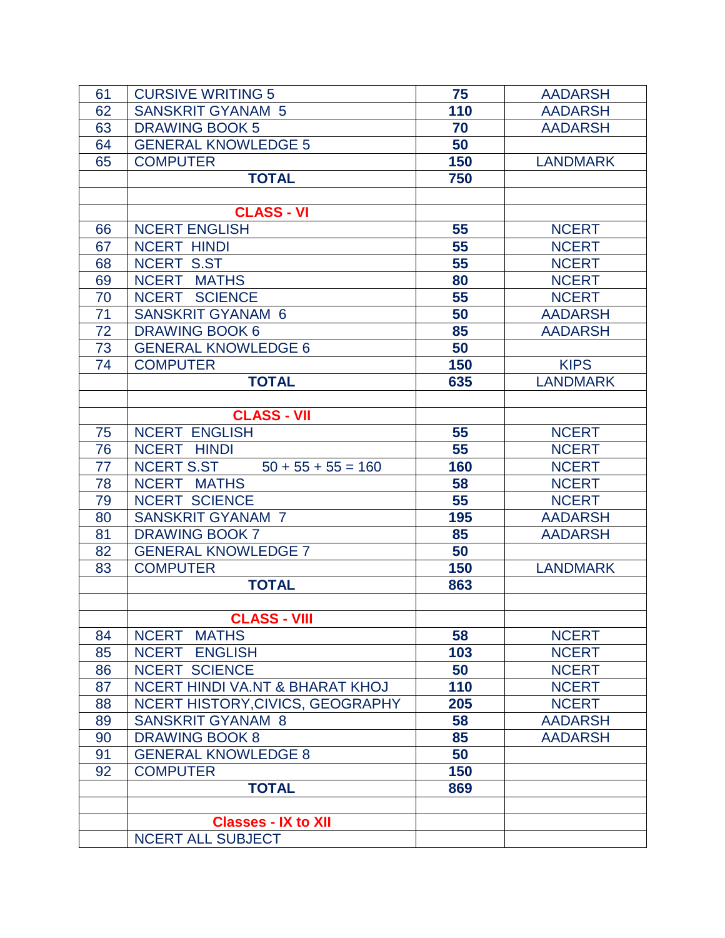| 61 | <b>CURSIVE WRITING 5</b>                  | 75  | <b>AADARSH</b>  |
|----|-------------------------------------------|-----|-----------------|
| 62 | <b>SANSKRIT GYANAM 5</b>                  | 110 | <b>AADARSH</b>  |
| 63 | <b>DRAWING BOOK 5</b>                     | 70  | <b>AADARSH</b>  |
| 64 | <b>GENERAL KNOWLEDGE 5</b>                | 50  |                 |
| 65 | <b>COMPUTER</b>                           | 150 | <b>LANDMARK</b> |
|    | <b>TOTAL</b>                              | 750 |                 |
|    |                                           |     |                 |
|    | <b>CLASS - VI</b>                         |     |                 |
| 66 | <b>NCERT ENGLISH</b>                      | 55  | <b>NCERT</b>    |
| 67 | <b>NCERT HINDI</b>                        | 55  | <b>NCERT</b>    |
| 68 | <b>NCERT S.ST</b>                         | 55  | <b>NCERT</b>    |
| 69 | NCERT MATHS                               | 80  | <b>NCERT</b>    |
| 70 | NCERT SCIENCE                             | 55  | <b>NCERT</b>    |
| 71 | <b>SANSKRIT GYANAM 6</b>                  | 50  | <b>AADARSH</b>  |
| 72 | <b>DRAWING BOOK 6</b>                     | 85  | <b>AADARSH</b>  |
| 73 | <b>GENERAL KNOWLEDGE 6</b>                | 50  |                 |
| 74 | <b>COMPUTER</b>                           | 150 | <b>KIPS</b>     |
|    | <b>TOTAL</b>                              | 635 | <b>LANDMARK</b> |
|    |                                           |     |                 |
|    | <b>CLASS - VII</b>                        |     |                 |
| 75 | <b>NCERT ENGLISH</b>                      | 55  | <b>NCERT</b>    |
| 76 | NCERT HINDI                               | 55  | <b>NCERT</b>    |
| 77 | <b>NCERT S.ST</b><br>$50 + 55 + 55 = 160$ | 160 | <b>NCERT</b>    |
| 78 | NCERT MATHS                               | 58  | <b>NCERT</b>    |
| 79 | <b>NCERT SCIENCE</b>                      | 55  | <b>NCERT</b>    |
| 80 | <b>SANSKRIT GYANAM 7</b>                  | 195 | <b>AADARSH</b>  |
| 81 | <b>DRAWING BOOK 7</b>                     | 85  | <b>AADARSH</b>  |
| 82 | <b>GENERAL KNOWLEDGE 7</b>                | 50  |                 |
| 83 | <b>COMPUTER</b>                           | 150 | <b>LANDMARK</b> |
|    | <b>TOTAL</b>                              | 863 |                 |
|    |                                           |     |                 |
|    | <b>CLASS - VIII</b>                       |     |                 |
| 84 | NCERT MATHS                               | 58  | <b>NCERT</b>    |
| 85 | <b>NCERT ENGLISH</b>                      | 103 | <b>NCERT</b>    |
| 86 | <b>NCERT SCIENCE</b>                      | 50  | <b>NCERT</b>    |
| 87 | NCERT HINDI VA.NT & BHARAT KHOJ           | 110 | <b>NCERT</b>    |
| 88 | NCERT HISTORY, CIVICS, GEOGRAPHY          | 205 | <b>NCERT</b>    |
| 89 | <b>SANSKRIT GYANAM 8</b>                  | 58  | <b>AADARSH</b>  |
| 90 | <b>DRAWING BOOK 8</b>                     | 85  | <b>AADARSH</b>  |
| 91 | <b>GENERAL KNOWLEDGE 8</b>                | 50  |                 |
| 92 | <b>COMPUTER</b>                           | 150 |                 |
|    | <b>TOTAL</b>                              | 869 |                 |
|    |                                           |     |                 |
|    | <b>Classes - IX to XII</b>                |     |                 |
|    | NCERT ALL SUBJECT                         |     |                 |